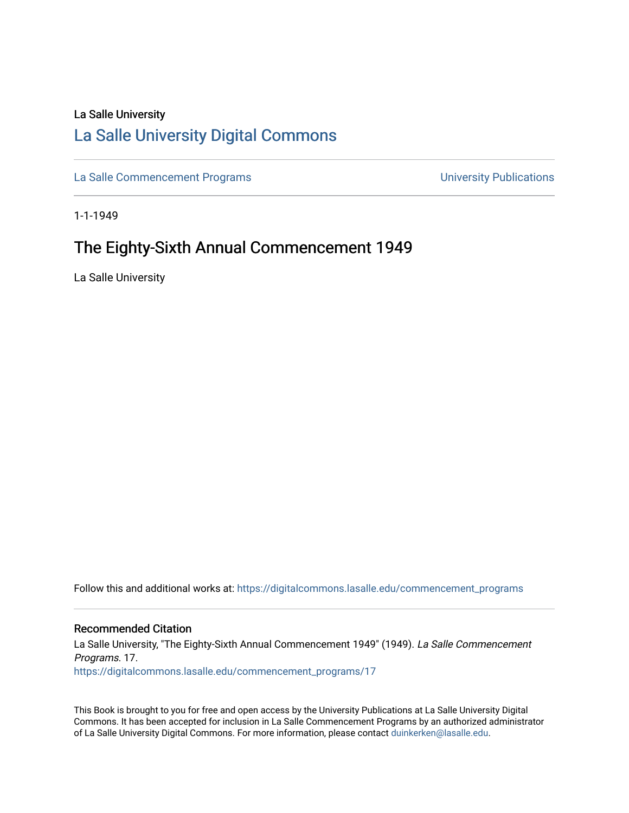# La Salle University

# [La Salle University Digital Commons](https://digitalcommons.lasalle.edu/)

[La Salle Commencement Programs](https://digitalcommons.lasalle.edu/commencement_programs) **Exercise 2018** University Publications

1-1-1949

# The Eighty-Sixth Annual Commencement 1949

La Salle University

Follow this and additional works at: [https://digitalcommons.lasalle.edu/commencement\\_programs](https://digitalcommons.lasalle.edu/commencement_programs?utm_source=digitalcommons.lasalle.edu%2Fcommencement_programs%2F17&utm_medium=PDF&utm_campaign=PDFCoverPages) 

# Recommended Citation

La Salle University, "The Eighty-Sixth Annual Commencement 1949" (1949). La Salle Commencement Programs. 17. [https://digitalcommons.lasalle.edu/commencement\\_programs/17](https://digitalcommons.lasalle.edu/commencement_programs/17?utm_source=digitalcommons.lasalle.edu%2Fcommencement_programs%2F17&utm_medium=PDF&utm_campaign=PDFCoverPages)

This Book is brought to you for free and open access by the University Publications at La Salle University Digital Commons. It has been accepted for inclusion in La Salle Commencement Programs by an authorized administrator of La Salle University Digital Commons. For more information, please contact [duinkerken@lasalle.edu.](mailto:duinkerken@lasalle.edu)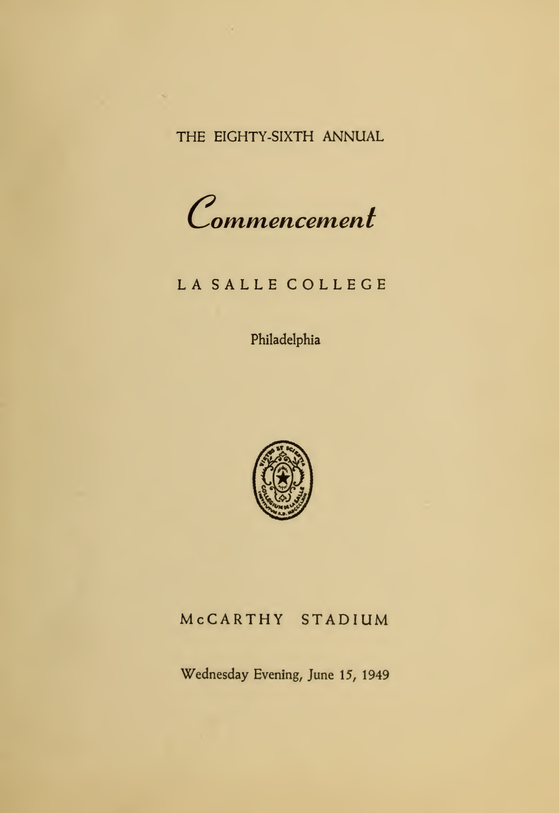THE EIGHTY-SIXTH ANNUAL

Commencemen<sup>t</sup>

## LA SALLE COLLEGE

Philadelphia



## McCARTHY STADIUM

Wednesday Evening, June 15, 1949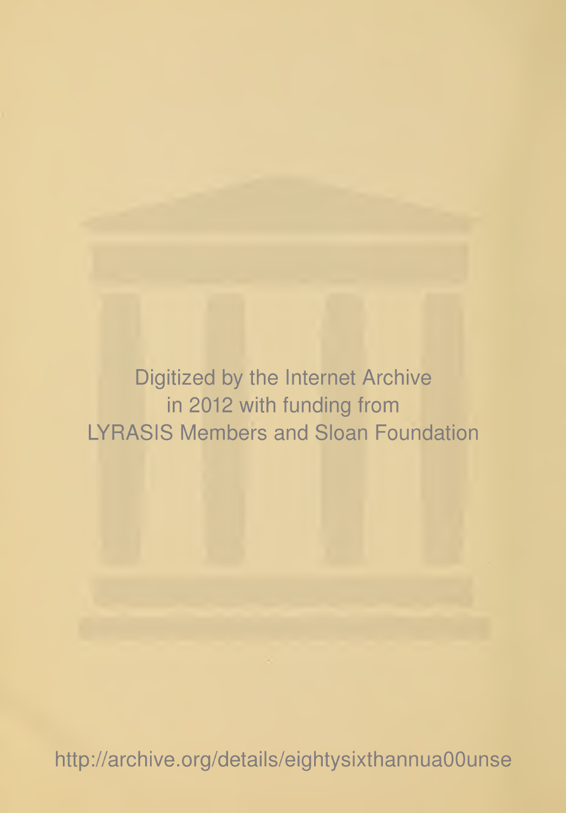Digitized by the Internet Archive in 2012 with funding from LYRASIS Members and Sloan Foundation

http://archive.org/details/eightysixthannuaOOunse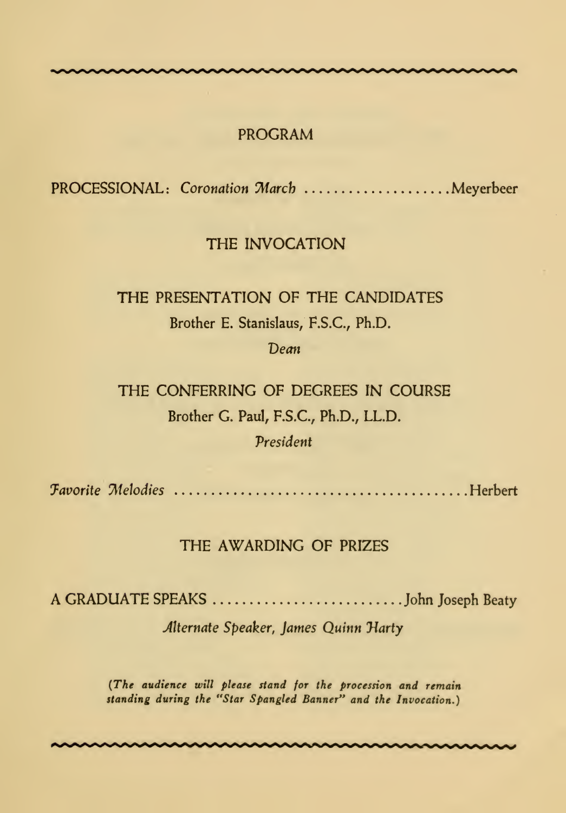## PROGRAM

PROCESSIONAL: Coronation March ....................... Meyerbeer

## THE INVOCATION

# THE PRESENTATION OF THE CANDIDATES Brother E. Stanislaus, F.S.C., Ph.D.

#### Dean

THE CONFERRING OF DEGREES IN COURSE Brother G. Paul, F.S.C., Ph.D., LL.D. President

favorite Melodies Herbert

## THE AWARDING OF PRIZES

A GRADUATE SPEAKS John Joseph Beaty

Alternate Speaker, James Quinn Harty

(The audience will please stand for the procession and remain standing during the "Star Spangled Banner" and the Invocation.)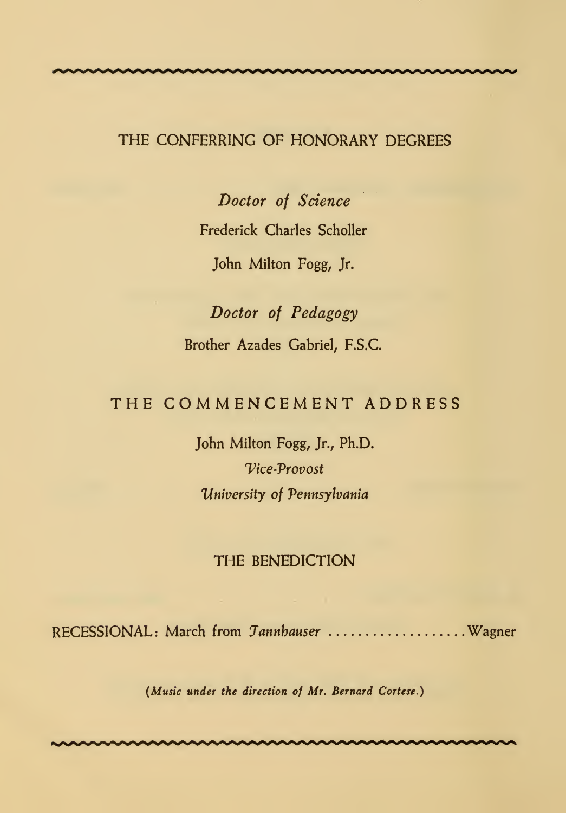## THE CONFERRING OF HONORARY DEGREES

Doctor of Science Frederick Charles Scholler John Milton Fogg, Jr.

Doctor of Pedagogy Brother Azades Gabriel, F.S.C.

## THE COMMENCEMENT ADDRESS

John Milton Fogg, Jr., Ph.D. Vice-Vrovost University of Pennsylvania

## THE BENEDICTION

RECESSIONAL: March from Tannbauser ..................... Wagner

(Music under the direction of Mr. Bernard Cortese.)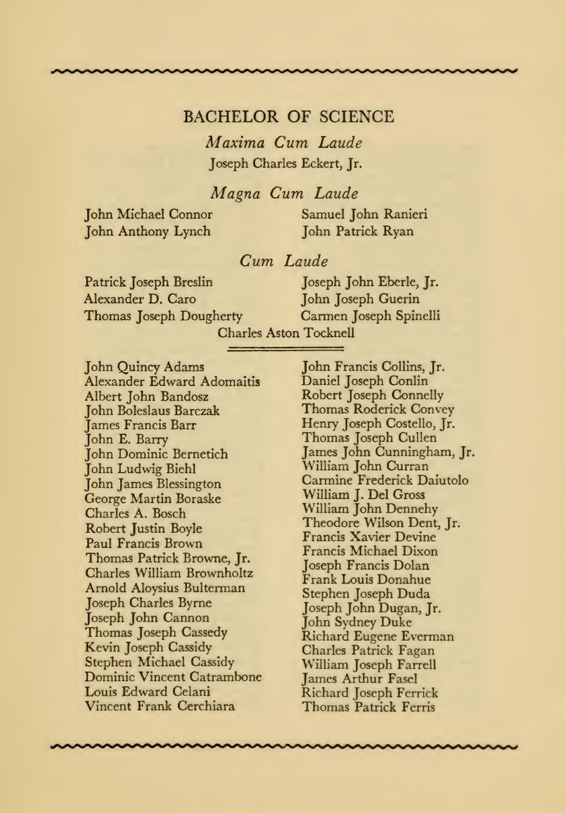## BACHELOR OF SCIENCE

Maxima Cum Laude Joseph Charles Eckert, Jr.

Magna Cum Laude

John Anthony Lynch John Patrick Ryan

John Michael Connor Samuel John Ranieri

## Cum Laude

Patrick Joseph Breslin Joseph John Eberle, Jr. Alexander D. Caro John Joseph Guerin Thomas Joseph Dougherty Carmen Joseph Spinelli

Charles Aston Tocknell

John Quincy Adams Alexander Edward Adomaitis Albert John Bandosz John Boleslaus Barczak James Francis Barr John E. Barry John Dominic Bernetich John Ludwig Biehl John James Blessington George Martin Boraske Charles A. Bosch Robert Justin Boyle Paul Francis Brown Thomas Patrick Browne, Jr. Charles William Brownholtz Arnold Aloysius Bulterman Joseph Charles Byrne Joseph John Cannon Thomas Joseph Cassedy Kevin Joseph Cassidy Stephen Michael Cassidy Dominic Vincent Catrambone Louis Edward Celani Vincent Frank Cerchiara

John Francis Collins, Jr. Daniel Joseph Conlin Robert Joseph Connelly Thomas Roderick Convey Henry Joseph Costello, Jr. Thomas Joseph Cullen James John Cunningham, Jr. William John Curran Carmine Frederick Daiutolo William J. Del Gross W'illiam John Dennehy Theodore Wilson Dent, Jr. Francis Xavier Devine Francis Michael Dixon Joseph Francis Dolan Frank Louis Donahue Stephen Joseph Duda Joseph John Dugan, Jr. John Sydney Duke Richard Eugene Everman Charles Patrick Fagan William Joseph Farrell James Arthur Fasel Richard Joseph Ferrick Thomas Patrick Ferris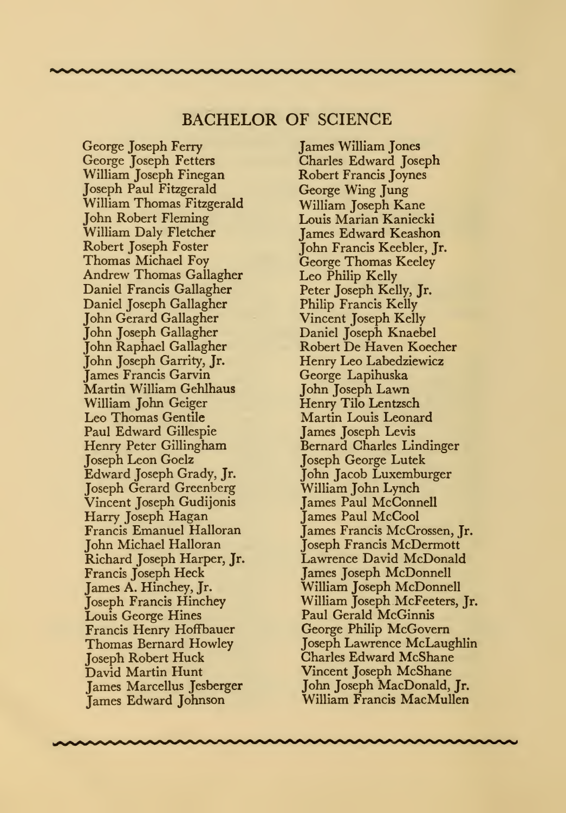## BACHELOR OF SCIENCE

George Joseph Ferry George Joseph Fetters William Joseph Finegan Joseph Paul Fitzgerald William Thomas Fitzgerald John Robert Fleming William Daly Fletcher Robert Joseph Foster Thomas Michael Foy Andrew Thomas Gallagher Daniel Francis Gallagher Daniel Joseph Gallagher John Gerard Gallagher John Joseph Gallagher John Raphael Gallagher John Joseph Garrity, Jr. James Francis Garvin Martin William Gehlhaus William John Geiger Leo Thomas Gentile Paul Edward Gillespie Henry Peter Gillingham Joseph Leon Goelz Edward Joseph Grady, Jr. Joseph Gerard Greenberg Vincent Joseph Gudijonis Harry Joseph Hagan Francis Emanuel Halloran John Michael Halloran Richard Joseph Harper, Jr. Francis Joseph Heck James A. Hinchey, Jr. Joseph Francis Hinchey Louis George Hines Francis Henry Hoffbauer Thomas Bernard Howley Joseph Robert Huck David Martin Hunt James Marcellus Jesberger James Edward Johnson

James William Jones Charles Edward Joseph Robert Francis Joynes George Wing Jung William Joseph Kane Louis Marian Kaniecki James Edward Keashon John Francis Keebler, Jr. George Thomas Keeley Leo Philip Kelly Peter Joseph Kelly, Jr. Philip Francis Kelly Vincent Joseph Kelly Daniel Joseph Knaebel Robert De Haven Koecher Henry Leo Labedziewicz George Lapihuska John Joseph Lawn Henry Tilo Lentzsch Martin Louis Leonard James Joseph Levis Bernard Charles Lindinger Joseph George Lutek John Jacob Luxemburger William John Lynch James Paul McConnell James Paul McCool James Francis McCrossen, Jr. Joseph Francis McDermott Lawrence David McDonald James Joseph McDonnell William Joseph McDonnell William Joseph McFeeters, Jr. Paul Gerald McGinnis George Philip McGovern Joseph Lawrence McLaughlin Charles Edward McShane Vincent Joseph McShane John Joseph MacDonald, Jr. William Francis MacMullen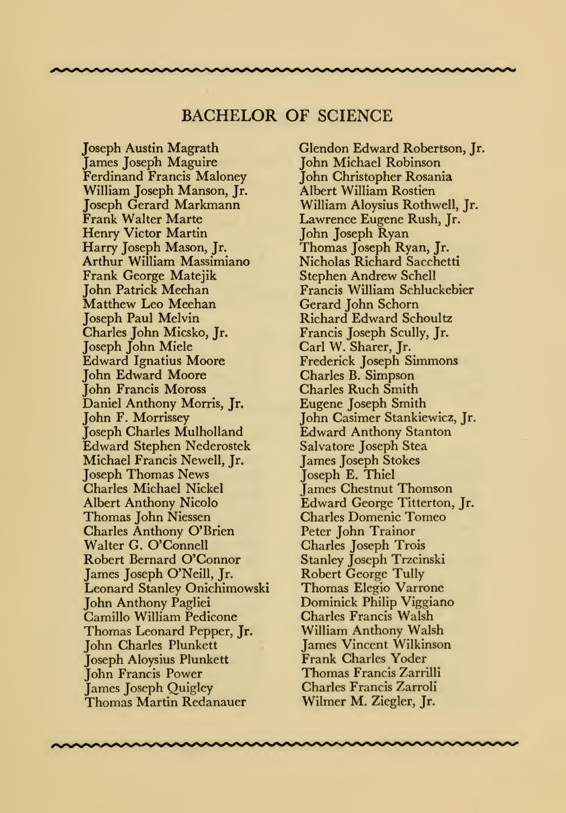## BACHELOR OF SCIENCE

Joseph Austin Magrath James Joseph Maguire Ferdinand Francis Maloney William Joseph Manson, Jr. Joseph Gerard Markmann Frank Walter Marte Henry Victor Martin Harry Joseph Mason, Jr. Arthur William Massimiano Frank George Matejik John Patrick Meehan Matthew Leo Meehan Joseph Paul Melvin Charles John Micsko, Jr. Joseph John Miele Edward Ignatius Moore John Edward Moore John Francis Moross Daniel Anthony Morris, Jr. John F. Morrissey Joseph Charles Mulholland Edward Stephen Nederostek Michael Francis Newell, Jr. Joseph Thomas News Charles Michael Nickel Albert Anthony Nicolo Thomas John Niessen Charles Anthony O'Brien Walter G. O'Connell Robert Bernard O'Connor James Joseph O'Neill, Jr. Leonard Stanley Onichimowski John Anthony Pagliei Camillo William Pedicone Thomas Leonard Pepper, Jr. John Charles Plunkett Joseph Aloysius Plunkett John Francis Power James Joseph Quigley Thomas Martin Redanauer

Glendon Edward Robertson, Jr. John Michael Robinson John Christopher Rosania Albert William Rostien William Aloysius Rothwell, Jr. Lawrence Eugene Rush, Jr. John Joseph Ryan Thomas Joseph Ryan, Jr. Nicholas Richard Sacchetti Stephen Andrew Schell Francis William Schluckebier Gerard John Schorn Richard Edward Schoultz Francis Joseph Scully, Jr. Carl W. Sharer, Jr. Frederick Joseph Simmons Charles B. Simpson Charles Ruch Smith Eugene Joseph Smith John Casimer Stankiewicz, Jr. Edward Anthony Stanton Salvatore Joseph Stea James Joseph Stokes Joseph E. Thiel James Chestnut Thomson Edward George Titterton, Jr. Charles Domenic Tomeo Peter John Trainor Charles Joseph Trois Stanley Joseph Trzcinski Robert George Tully Thomas Elegio Varrone Dominick Philip Viggiano Charles Francis Walsh William Anthony Walsh James Vincent Wilkinson Frank Charles Yoder Thomas Francis Zarrilli Charles Francis Zarroli Wilmer M. Ziegler, Jr.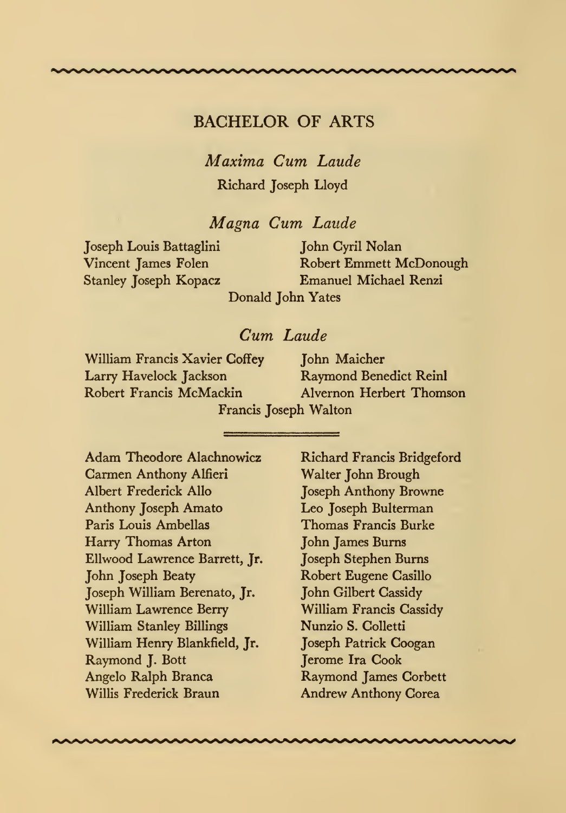## BACHELOR OF ARTS

Maxima Cum Laude Richard Joseph Lloyd

Magna Cum Laude

Joseph Louis Battaglini John Cyril Nolan

Robert Emmett McDonough Stanley Joseph Kopacz Emanuel Michael Renzi

Donald John Yates

## Cum Laude

William Francis Xavier Coffey John Maicher Larry Havelock Jackson<br>Robert Francis McMackin

Alvernon Herbert Thomson Francis Joseph Walton

Adam Theodore Alachnowicz Carmen Anthony Alfieri Albert Frederick Alio Anthony Joseph Amato Paris Louis Arabellas Harry Thomas Arton Ellwood Lawrence Barrett, Jr. John Joseph Beaty Joseph William Berenato, Jr. William Lawrence Berry William Stanley Billings William Henry Blankfield, Jr. Raymond J. Bott Angelo Ralph Branca Willis Frederick Braun

Richard Francis Bridgeford Walter John Brough Joseph Anthony Browne Leo Joseph Bulterman Thomas Francis Burke John James Burns Joseph Stephen Burns Robert Eugene Casillo John Gilbert Cassidy William Francis Cassidy Nunzio S.Colletti Joseph Patrick Coogan Jerome Ira Cook Raymond James Corbett Andrew Anthony Corea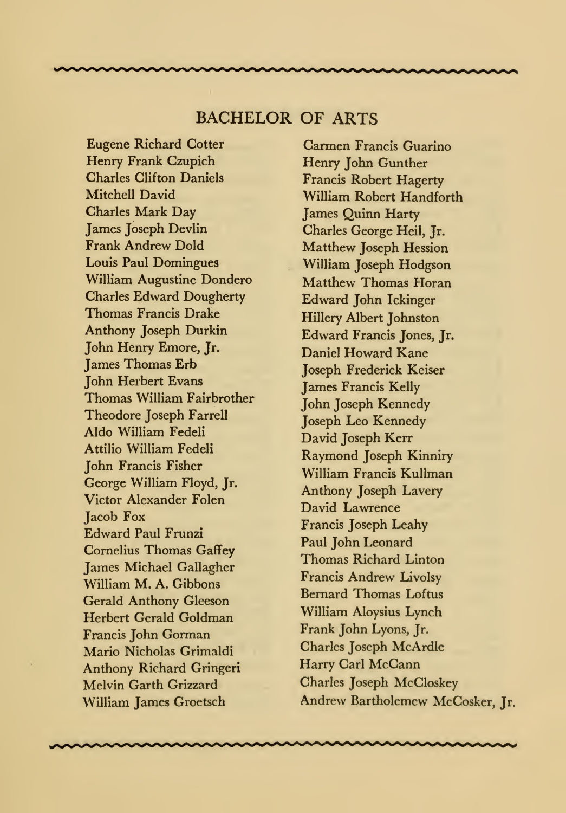## BACHELOR OF ARTS

Eugene Richard Cotter Henry Frank Czupich Charles Clifton Daniels Mitchell David Charles Mark Day James Joseph Devlin Frank Andrew Dold Louis Paul Domingues William Augustine Dondero Charles Edward Dougherty Thomas Francis Drake Anthony Joseph Durkin John Henry Emore, Jr. James Thomas Erb John Herbert Evans Thomas William Fairbrother Theodore Joseph Farrell Aldo William Fedeli Attilio William Fedeli John Francis Fisher George William Floyd, Jr. Victor Alexander Folen **Jacob Fox** Edward Paul Frunzi Cornelius Thomas Gaffey James Michael Gallagher William M. A. Gibbons Gerald Anthony Gleeson Herbert Gerald Goldman Francis John Gorman Mario Nicholas Grimaldi Anthony Richard Gringeri Melvin Garth Grizzard William James Groetsch

Carmen Francis Guarino Henry John Gunther Francis Robert Hagerty William Robert Handforth James Quinn Harty Charles George Heil, Jr. Matthew Joseph Hession William Joseph Hodgson Matthew Thomas Horan Edward John Ickinger Hillery Albert Johnston Edward Francis Jones, Jr. Daniel Howard Kane Joseph Frederick Keiser James Francis Kelly John Joseph Kennedy Joseph Leo Kennedy David Joseph Kerr Raymond Joseph Kinniry William Francis Kullman Anthony Joseph Lavery David Lawrence Francis Joseph Leahy Paul John Leonard Thomas Richard Linton Francis Andrew Livolsy Bernard Thomas Loftus William Aloysius Lynch Frank John Lyons, Jr. Charles Joseph McArdle Harry Carl McCann Charles Joseph McCloskey Andrew Bartholemew McCosker, Jr.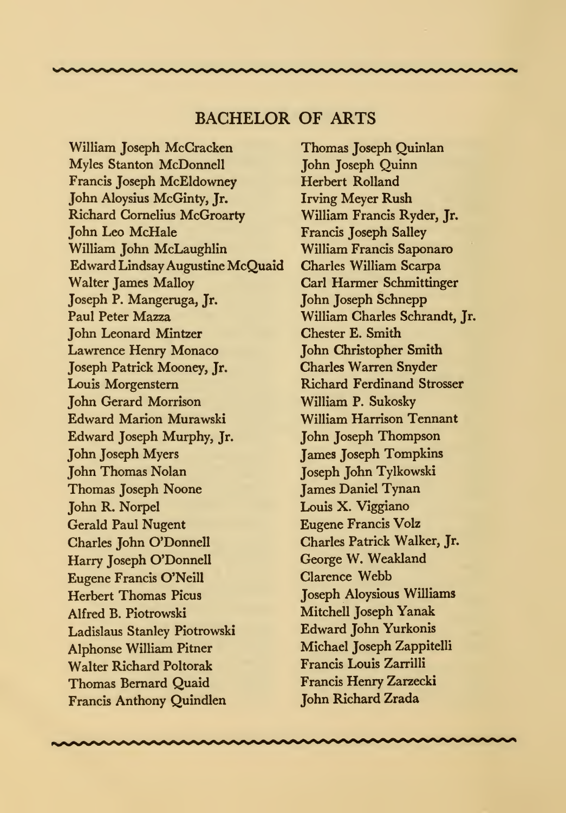## BACHELOR OF ARTS

William Joseph McCracken Myles Stanton McDonnell Francis Joseph McEldowney John Aloysius McGinty, Jr. Richard Cornelius McGroarty John Leo McHale William John McLaughlin Edward Lindsay Augustine McQuaid Walter James Malloy Joseph P. Mangeruga, Jr. Paul Peter Mazza John Leonard Mintzer Lawrence Henry Monaco Joseph Patrick Mooney, Jr. Louis Morgenstern John Gerard Morrison Edward Marion Murawski Edward Joseph Murphy, Jr. John Joseph Myers John Thomas Nolan Thomas Joseph Noone John R. Norpel Gerald Paul Nugent Charles John O'Donnell Harry Joseph O'Donnell Eugene Francis O'Neill Herbert Thomas Picus Alfred B. Piotrowski Ladislaus Stanley Piotrowski Alphonse William Pitner Walter Richard Poltorak Thomas Bernard Quaid Francis Anthony Quindlen

Thomas Joseph Quinlan John Joseph Quinn Herbert Rolland Irving Meyer Rush William Francis Ryder, Jr. Francis Joseph Salley William Francis Saponaro Charles William Scarpa Carl Harmer Schmittinger John Joseph Schnepp William Charles Schrandt, Jr. Chester E. Smith John Christopher Smith Charles Warren Snyder Richard Ferdinand Strosser William P. Sukosky William Harrison Tennant John Joseph Thompson James Joseph Tompkins Joseph John Tylkowski James Daniel Tynan Louis X. Viggiano Eugene Francis Volz Charles Patrick Walker, Jr. George W. Weakland Clarence Webb Joseph Aloysious Williams Mitchell Joseph Yanak Edward John Yurkonis Michael Joseph Zappitelli Francis Louis Zarrilli Francis Henry Zarzecki John Richard Zrada